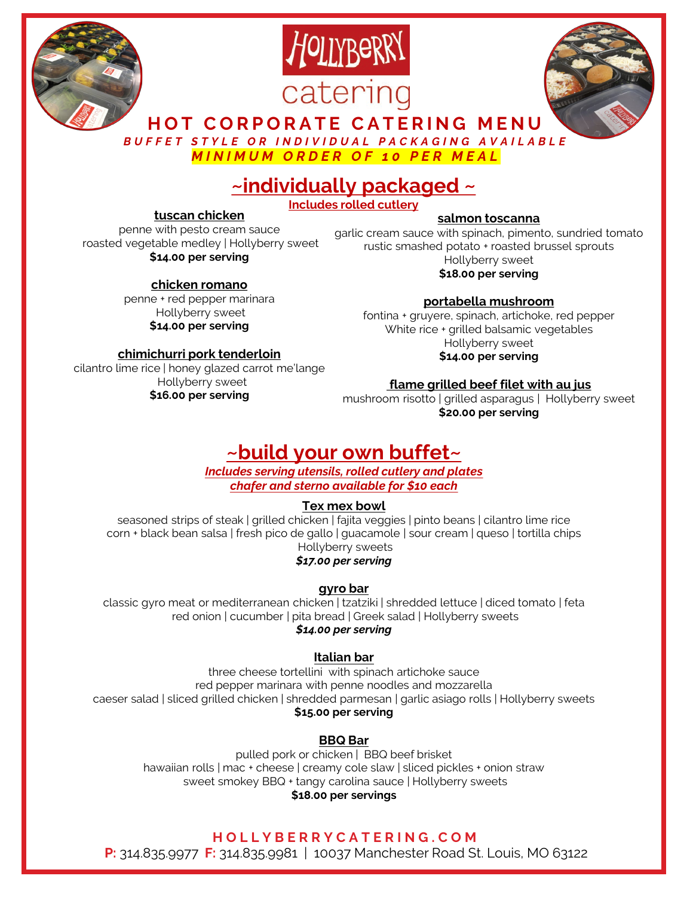





**HOT CORPORATE CATERING MENU**

*BUFFET STYLE OR INDIVIDUAL PACKAGING AVAILABLE*

*MINIMUM ORDER OF 10 PER MEAL*

# **~individually packaged ~**

**Includes rolled cutlery**

#### **tuscan chicken**

penne with pesto cream sauce roasted vegetable medley | Hollyberry sweet **\$14.00 per serving**

> **chicken romano** penne + red pepper marinara Hollyberry sweet **\$14.00 per serving**

## **salmon toscanna**

garlic cream sauce with spinach, pimento, sundried tomato rustic smashed potato + roasted brussel sprouts Hollyberry sweet

**\$18.00 per serving**

**portabella mushroom** 

fontina + gruyere, spinach, artichoke, red pepper White rice + grilled balsamic vegetables Hollyberry sweet **\$14.00 per serving**

#### **chimichurri pork tenderloin**

cilantro lime rice | honey glazed carrot me'lange Hollyberry sweet **\$16.00 per serving** 

#### **flame grilled beef filet with au jus**

mushroom risotto | grilled asparagus | Hollyberry sweet **\$20.00 per serving**

# **~build your own buffet~**

*Includes serving utensils, rolled cutlery and plates chafer and sterno available for \$10 each* 

#### **Tex mex bowl**

seasoned strips of steak | grilled chicken | fajita veggies | pinto beans | cilantro lime rice corn + black bean salsa | fresh pico de gallo | guacamole | sour cream | queso | tortilla chips Hollyberry sweets

*\$17.00 per serving*

### **gyro bar**

classic gyro meat or mediterranean chicken | tzatziki | shredded lettuce | diced tomato | feta red onion | cucumber | pita bread | Greek salad | Hollyberry sweets *\$14.00 per serving*

## **Italian bar**

three cheese tortellini with spinach artichoke sauce red pepper marinara with penne noodles and mozzarella caeser salad | sliced grilled chicken | shredded parmesan | garlic asiago rolls | Hollyberry sweets **\$15.00 per serving**

### **BBQ Bar**

pulled pork or chicken | BBQ beef brisket hawaiian rolls | mac + cheese | creamy cole slaw | sliced pickles + onion straw sweet smokey BBQ + tangy carolina sauce | Hollyberry sweets **\$18.00 per servings**

### **H OLLYBER RYCATERING.COM**

**P:** 314.835.9977 **F:** 314.835.9981 | 10037 Manchester Road St. Louis, MO 63122